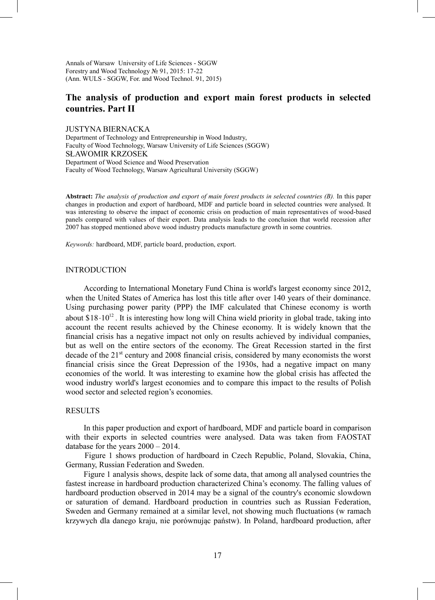Annals of Warsaw University of Life Sciences - SGGW Forestry and Wood Technology № 91, 2015: 17-22 (Ann. WULS - SGGW, For. and Wood Technol. 91, 2015)

# **The analysis of production and export main forest products in selected countries. Part II**

JUSTYNA BIERNACKA

Department of Technology and Entrepreneurship in Wood Industry, Faculty of Wood Technology, Warsaw University of Life Sciences (SGGW) SŁAWOMIR KRZOSEK Department of Wood Science and Wood Preservation Faculty of Wood Technology, Warsaw Agricultural University (SGGW)

**Abstract:** *The analysis of production and export of main forest products in selected countries (B).* In this paper changes in production and export of hardboard, MDF and particle board in selected countries were analysed. It was interesting to observe the impact of economic crisis on production of main representatives of wood-based panels compared with values of their export. Data analysis leads to the conclusion that world recession after 2007 has stopped mentioned above wood industry products manufacture growth in some countries.

*Keywords:* hardboard, MDF, particle board, production, export.

#### INTRODUCTION

According to International Monetary Fund China is world's largest economy since 2012, when the United States of America has lost this title after over 140 years of their dominance. Using purchasing power parity (PPP) the IMF calculated that Chinese economy is worth about  $$18 \cdot 10^{12}$ . It is interesting how long will China wield priority in global trade, taking into account the recent results achieved by the Chinese economy. It is widely known that the financial crisis has a negative impact not only on results achieved by individual companies, but as well on the entire sectors of the economy. The Great Recession started in the first decade of the 21<sup>st</sup> century and 2008 financial crisis, considered by many economists the worst financial crisis since the Great Depression of the 1930s, had a negative impact on many economies of the world. It was interesting to examine how the global crisis has affected the wood industry world's largest economies and to compare this impact to the results of Polish wood sector and selected region's economies.

## **RESULTS**

In this paper production and export of hardboard, MDF and particle board in comparison with their exports in selected countries were analysed. Data was taken from FAOSTAT database for the years 2000 – 2014.

Figure 1 shows production of hardboard in Czech Republic, Poland, Slovakia, China, Germany, Russian Federation and Sweden.

Figure 1 analysis shows, despite lack of some data, that among all analysed countries the fastest increase in hardboard production characterized China's economy. The falling values of hardboard production observed in 2014 may be a signal of the country's economic slowdown or saturation of demand. Hardboard production in countries such as Russian Federation, Sweden and Germany remained at a similar level, not showing much fluctuations (w ramach krzywych dla danego kraju, nie porównując państw). In Poland, hardboard production, after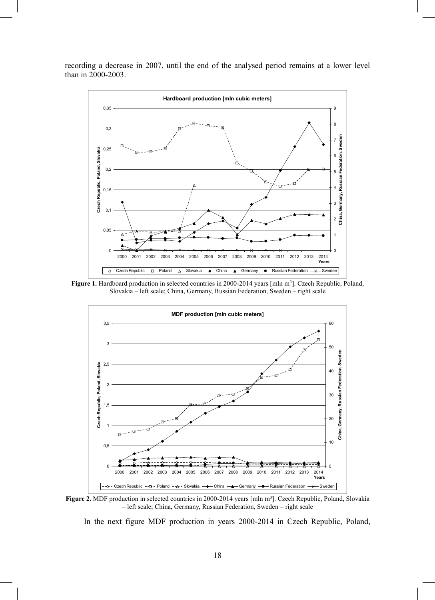

recording a decrease in 2007, until the end of the analysed period remains at a lower level than in 2000-2003.

Figure 1. Hardboard production in selected countries in 2000-2014 years [mln m<sup>3</sup>]. Czech Republic, Poland, Slovakia – left scale; China, Germany, Russian Federation, Sweden – right scale



Figure 2. MDF production in selected countries in 2000-2014 years [mln m<sup>3</sup>]. Czech Republic, Poland, Slovakia – left scale; China, Germany, Russian Federation, Sweden – right scale

In the next figure MDF production in years 2000-2014 in Czech Republic, Poland,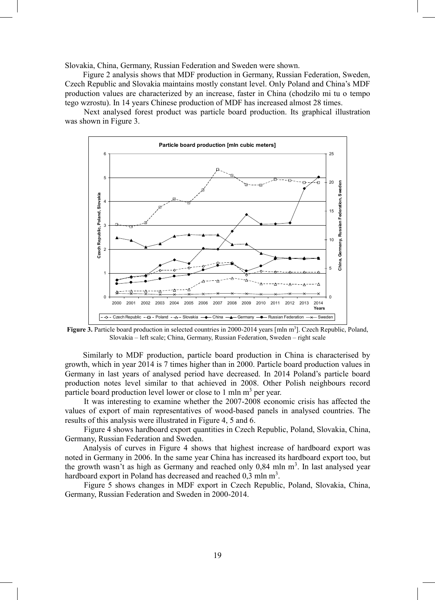Slovakia, China, Germany, Russian Federation and Sweden were shown.

Figure 2 analysis shows that MDF production in Germany, Russian Federation, Sweden, Czech Republic and Slovakia maintains mostly constant level. Only Poland and China's MDF production values are characterized by an increase, faster in China (chodziło mi tu o tempo tego wzrostu). In 14 years Chinese production of MDF has increased almost 28 times.

Next analysed forest product was particle board production. Its graphical illustration was shown in Figure 3.



Figure 3. Particle board production in selected countries in 2000-2014 years [mln m<sup>3</sup>]. Czech Republic, Poland, Slovakia – left scale; China, Germany, Russian Federation, Sweden – right scale

Similarly to MDF production, particle board production in China is characterised by growth, which in year 2014 is 7 times higher than in 2000. Particle board production values in Germany in last years of analysed period have decreased. In 2014 Poland's particle board production notes level similar to that achieved in 2008. Other Polish neighbours record particle board production level lower or close to 1 mln  $m<sup>3</sup>$  per year.

It was interesting to examine whether the 2007-2008 economic crisis has affected the values of export of main representatives of wood-based panels in analysed countries. The results of this analysis were illustrated in Figure 4, 5 and 6.

Figure 4 shows hardboard export quantities in Czech Republic, Poland, Slovakia, China, Germany, Russian Federation and Sweden.

Analysis of curves in Figure 4 shows that highest increase of hardboard export was noted in Germany in 2006. In the same year China has increased its hardboard export too, but the growth wasn't as high as Germany and reached only  $0,84$  mln m<sup>3</sup>. In last analysed year hardboard export in Poland has decreased and reached  $0,3$  mln m<sup>3</sup>.

Figure 5 shows changes in MDF export in Czech Republic, Poland, Slovakia, China, Germany, Russian Federation and Sweden in 2000-2014.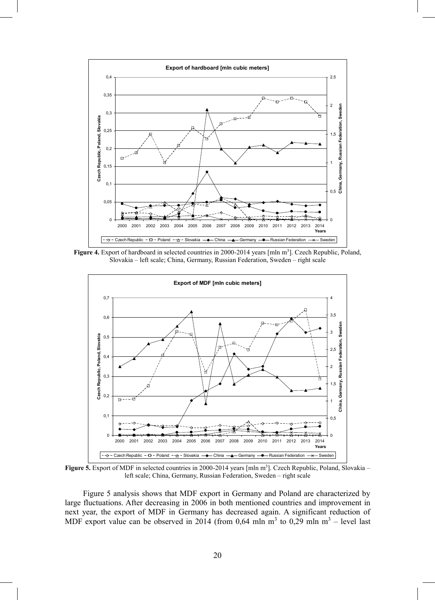

**Figure 4.** Export of hardboard in selected countries in 2000-2014 years [mln m<sup>3</sup>]. Czech Republic, Poland, Slovakia – left scale; China, Germany, Russian Federation, Sweden – right scale



Figure 5. Export of MDF in selected countries in 2000-2014 years [mln m<sup>3</sup>]. Czech Republic, Poland, Slovakia – left scale; China, Germany, Russian Federation, Sweden – right scale

Figure 5 analysis shows that MDF export in Germany and Poland are characterized by large fluctuations. After decreasing in 2006 in both mentioned countries and improvement in next year, the export of MDF in Germany has decreased again. A significant reduction of MDF export value can be observed in 2014 (from 0,64 mln m<sup>3</sup> to 0,29 mln m<sup>3</sup> – level last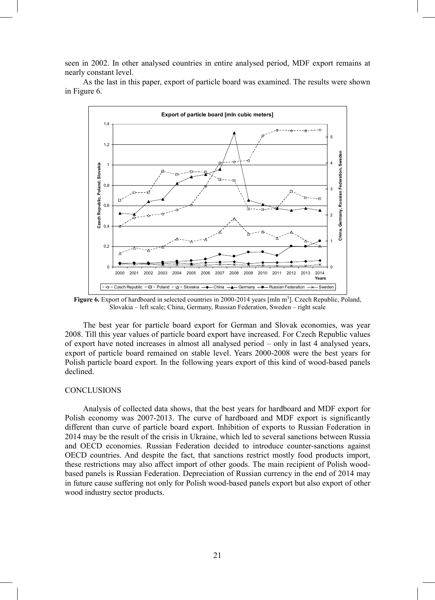seen in 2002. In other analysed countries in entire analysed period, MDF export remains at nearly constant level.

As the last in this paper, export of particle board was examined. The results were shown in Figure 6.



Figure 6. Export of hardboard in selected countries in 2000-2014 years [mln m<sup>3</sup>]. Czech Republic, Poland, Slovakia – left scale; China, Germany, Russian Federation, Sweden – right scale

The best year for particle board export for German and Slovak economies, was year 2008. Till this year values of particle board export have increased. For Czech Republic values of export have noted increases in almost all analysed period – only in last 4 analysed years, export of particle board remained on stable level. Years 2000-2008 were the best years for Polish particle board export. In the following years export of this kind of wood-based panels declined.

### **CONCLUSIONS**

Analysis of collected data shows, that the best years for hardboard and MDF export for Polish economy was 2007-2013. The curve of hardboard and MDF export is significantly different than curve of particle board export. Inhibition of exports to Russian Federation in 2014 may be the result of the crisis in Ukraine, which led to several sanctions between Russia and OECD economies. Russian Federation decided to introduce counter-sanctions against OECD countries. And despite the fact, that sanctions restrict mostly food products import, these restrictions may also affect import of other goods. The main recipient of Polish woodbased panels is Russian Federation. Depreciation of Russian currency in the end of 2014 may in future cause suffering not only for Polish wood-based panels export but also export of other wood industry sector products.